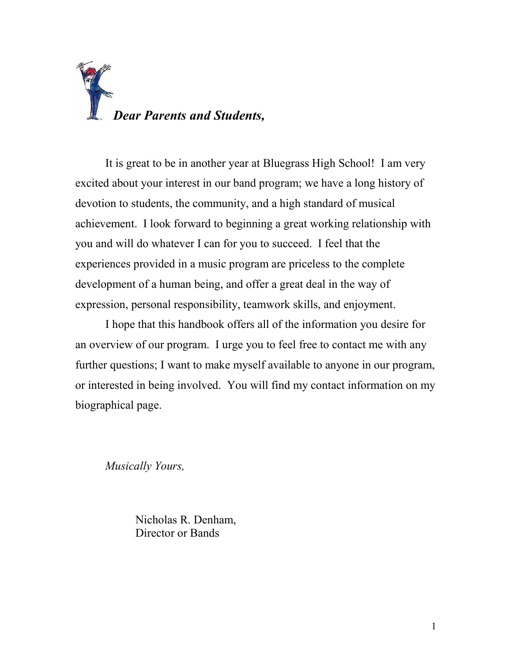

It is great to be in another year at Bluegrass High School! I am very excited about your interest in our band program; we have a long history of devotion to students, the community, and a high standard of musical achievement. I look forward to beginning a great working relationship with you and will do whatever I can for you to succeed. I feel that the experiences provided in a music program are priceless to the complete development of a human being, and offer a great deal in the way of expression, personal responsibility, teamwork skills, and enjoyment.

I hope that this handbook offers all of the information you desire for an overview of our program. I urge you to feel free to contact me with any further questions; I want to make myself available to anyone in our program, or interested in being involved. You will find my contact information on my biographical page.

Musically Yours,

Nicholas R. Denham, Director or Bands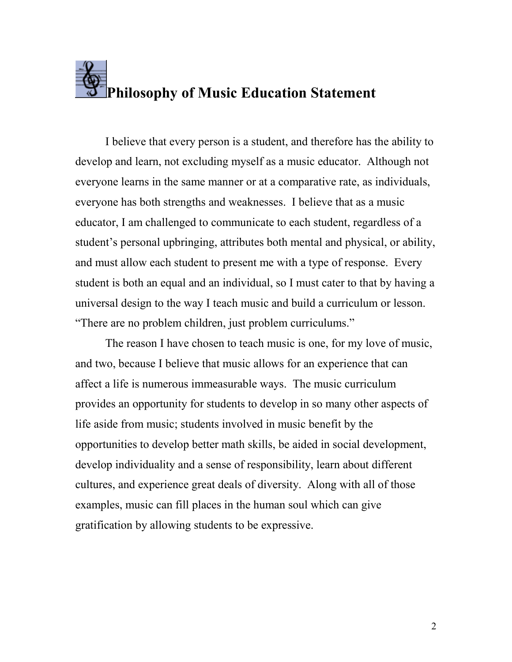## Philosophy of Music Education Statement

I believe that every person is a student, and therefore has the ability to develop and learn, not excluding myself as a music educator. Although not everyone learns in the same manner or at a comparative rate, as individuals, everyone has both strengths and weaknesses. I believe that as a music educator, I am challenged to communicate to each student, regardless of a student's personal upbringing, attributes both mental and physical, or ability, and must allow each student to present me with a type of response. Every student is both an equal and an individual, so I must cater to that by having a universal design to the way I teach music and build a curriculum or lesson. "There are no problem children, just problem curriculums."

 The reason I have chosen to teach music is one, for my love of music, and two, because I believe that music allows for an experience that can affect a life is numerous immeasurable ways. The music curriculum provides an opportunity for students to develop in so many other aspects of life aside from music; students involved in music benefit by the opportunities to develop better math skills, be aided in social development, develop individuality and a sense of responsibility, learn about different cultures, and experience great deals of diversity. Along with all of those examples, music can fill places in the human soul which can give gratification by allowing students to be expressive.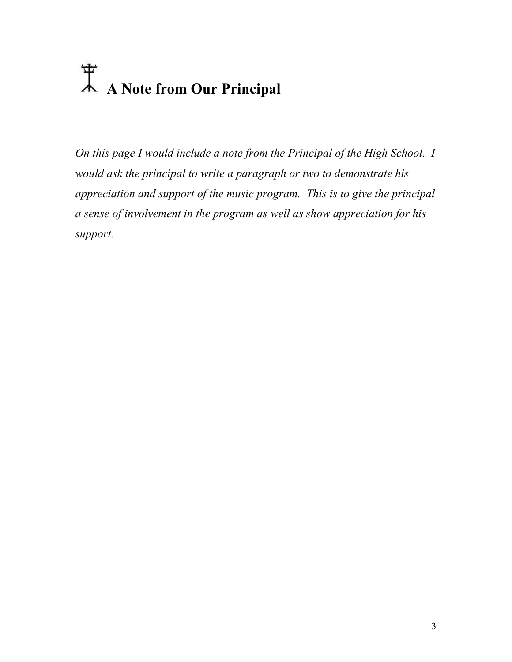## A Note from Our Principal

On this page I would include a note from the Principal of the High School. I would ask the principal to write a paragraph or two to demonstrate his appreciation and support of the music program. This is to give the principal a sense of involvement in the program as well as show appreciation for his support.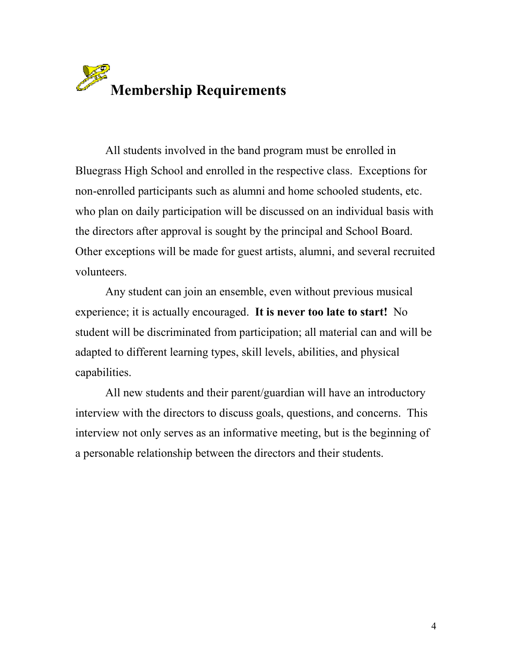

All students involved in the band program must be enrolled in Bluegrass High School and enrolled in the respective class. Exceptions for non-enrolled participants such as alumni and home schooled students, etc. who plan on daily participation will be discussed on an individual basis with the directors after approval is sought by the principal and School Board. Other exceptions will be made for guest artists, alumni, and several recruited volunteers.

Any student can join an ensemble, even without previous musical experience; it is actually encouraged. It is never too late to start! No student will be discriminated from participation; all material can and will be adapted to different learning types, skill levels, abilities, and physical capabilities.

All new students and their parent/guardian will have an introductory interview with the directors to discuss goals, questions, and concerns. This interview not only serves as an informative meeting, but is the beginning of a personable relationship between the directors and their students.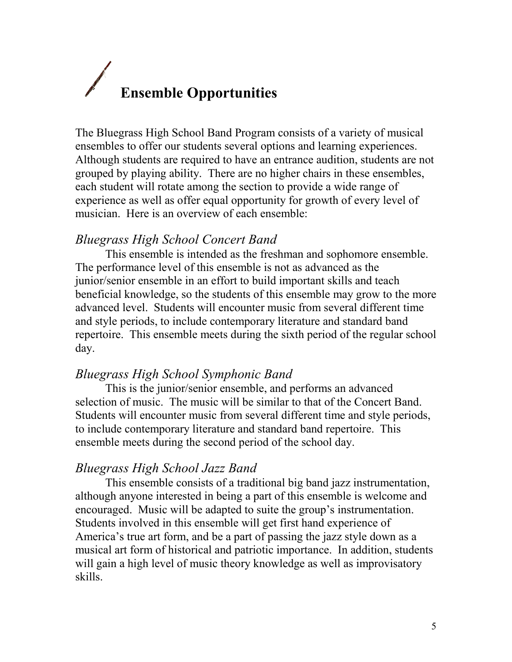# Ensemble Opportunities

The Bluegrass High School Band Program consists of a variety of musical ensembles to offer our students several options and learning experiences. Although students are required to have an entrance audition, students are not grouped by playing ability. There are no higher chairs in these ensembles, each student will rotate among the section to provide a wide range of experience as well as offer equal opportunity for growth of every level of musician. Here is an overview of each ensemble:

#### Bluegrass High School Concert Band

This ensemble is intended as the freshman and sophomore ensemble. The performance level of this ensemble is not as advanced as the junior/senior ensemble in an effort to build important skills and teach beneficial knowledge, so the students of this ensemble may grow to the more advanced level. Students will encounter music from several different time and style periods, to include contemporary literature and standard band repertoire. This ensemble meets during the sixth period of the regular school day.

#### Bluegrass High School Symphonic Band

This is the junior/senior ensemble, and performs an advanced selection of music. The music will be similar to that of the Concert Band. Students will encounter music from several different time and style periods, to include contemporary literature and standard band repertoire. This ensemble meets during the second period of the school day.

#### Bluegrass High School Jazz Band

This ensemble consists of a traditional big band jazz instrumentation, although anyone interested in being a part of this ensemble is welcome and encouraged. Music will be adapted to suite the group's instrumentation. Students involved in this ensemble will get first hand experience of America's true art form, and be a part of passing the jazz style down as a musical art form of historical and patriotic importance. In addition, students will gain a high level of music theory knowledge as well as improvisatory skills.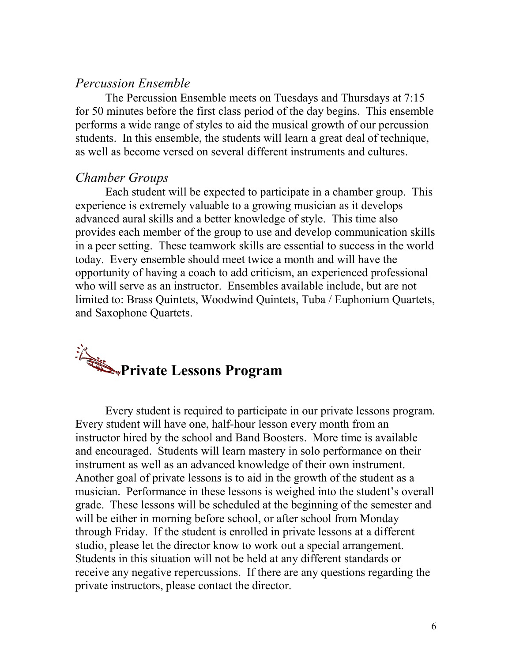#### Percussion Ensemble

The Percussion Ensemble meets on Tuesdays and Thursdays at 7:15 for 50 minutes before the first class period of the day begins. This ensemble performs a wide range of styles to aid the musical growth of our percussion students. In this ensemble, the students will learn a great deal of technique, as well as become versed on several different instruments and cultures.

#### Chamber Groups

Each student will be expected to participate in a chamber group. This experience is extremely valuable to a growing musician as it develops advanced aural skills and a better knowledge of style. This time also provides each member of the group to use and develop communication skills in a peer setting. These teamwork skills are essential to success in the world today. Every ensemble should meet twice a month and will have the opportunity of having a coach to add criticism, an experienced professional who will serve as an instructor. Ensembles available include, but are not limited to: Brass Quintets, Woodwind Quintets, Tuba / Euphonium Quartets, and Saxophone Quartets.



Every student is required to participate in our private lessons program. Every student will have one, half-hour lesson every month from an instructor hired by the school and Band Boosters. More time is available and encouraged. Students will learn mastery in solo performance on their instrument as well as an advanced knowledge of their own instrument. Another goal of private lessons is to aid in the growth of the student as a musician. Performance in these lessons is weighed into the student's overall grade. These lessons will be scheduled at the beginning of the semester and will be either in morning before school, or after school from Monday through Friday. If the student is enrolled in private lessons at a different studio, please let the director know to work out a special arrangement. Students in this situation will not be held at any different standards or receive any negative repercussions. If there are any questions regarding the private instructors, please contact the director.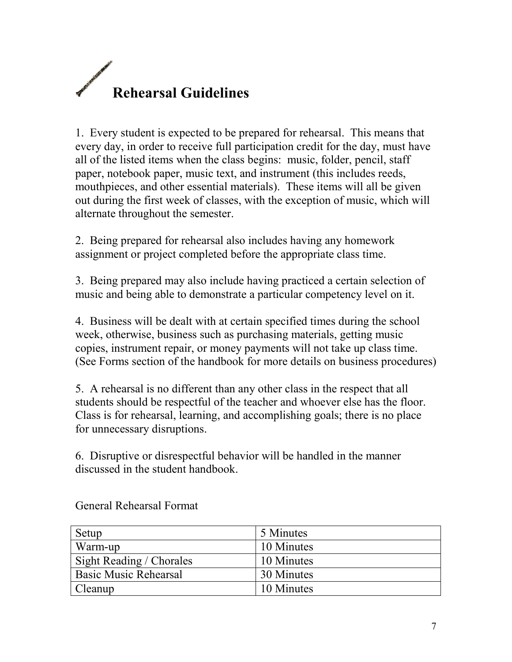

1. Every student is expected to be prepared for rehearsal. This means that every day, in order to receive full participation credit for the day, must have all of the listed items when the class begins: music, folder, pencil, staff paper, notebook paper, music text, and instrument (this includes reeds, mouthpieces, and other essential materials). These items will all be given out during the first week of classes, with the exception of music, which will alternate throughout the semester.

2. Being prepared for rehearsal also includes having any homework assignment or project completed before the appropriate class time.

3. Being prepared may also include having practiced a certain selection of music and being able to demonstrate a particular competency level on it.

4. Business will be dealt with at certain specified times during the school week, otherwise, business such as purchasing materials, getting music copies, instrument repair, or money payments will not take up class time. (See Forms section of the handbook for more details on business procedures)

5. A rehearsal is no different than any other class in the respect that all students should be respectful of the teacher and whoever else has the floor. Class is for rehearsal, learning, and accomplishing goals; there is no place for unnecessary disruptions.

6. Disruptive or disrespectful behavior will be handled in the manner discussed in the student handbook.

| Setup                        | 5 Minutes  |
|------------------------------|------------|
| Warm-up                      | 10 Minutes |
| Sight Reading / Chorales     | 10 Minutes |
| <b>Basic Music Rehearsal</b> | 30 Minutes |
| Cleanup                      | 10 Minutes |

General Rehearsal Format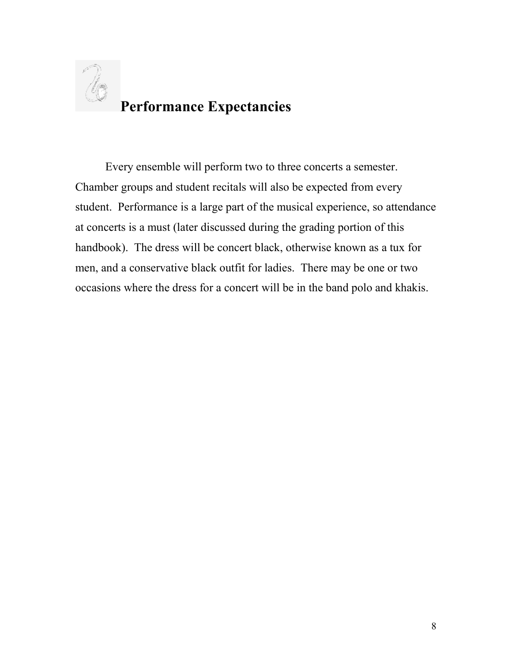

Every ensemble will perform two to three concerts a semester. Chamber groups and student recitals will also be expected from every student. Performance is a large part of the musical experience, so attendance at concerts is a must (later discussed during the grading portion of this handbook). The dress will be concert black, otherwise known as a tux for men, and a conservative black outfit for ladies. There may be one or two occasions where the dress for a concert will be in the band polo and khakis.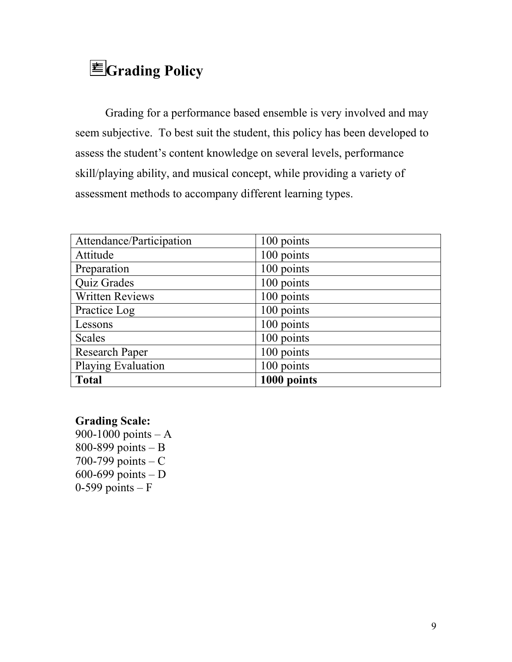### $\equiv$ Grading Policy

Grading for a performance based ensemble is very involved and may seem subjective. To best suit the student, this policy has been developed to assess the student's content knowledge on several levels, performance skill/playing ability, and musical concept, while providing a variety of assessment methods to accompany different learning types.

| Attendance/Participation | 100 points  |
|--------------------------|-------------|
| Attitude                 | 100 points  |
| Preparation              | 100 points  |
| Quiz Grades              | 100 points  |
| <b>Written Reviews</b>   | 100 points  |
| Practice Log             | 100 points  |
| Lessons                  | 100 points  |
| Scales                   | 100 points  |
| <b>Research Paper</b>    | 100 points  |
| Playing Evaluation       | 100 points  |
| <b>Total</b>             | 1000 points |

#### Grading Scale:

900-1000 points – A 800-899 points – B 700-799 points  $-C$ 600-699 points – D  $0-599$  points – F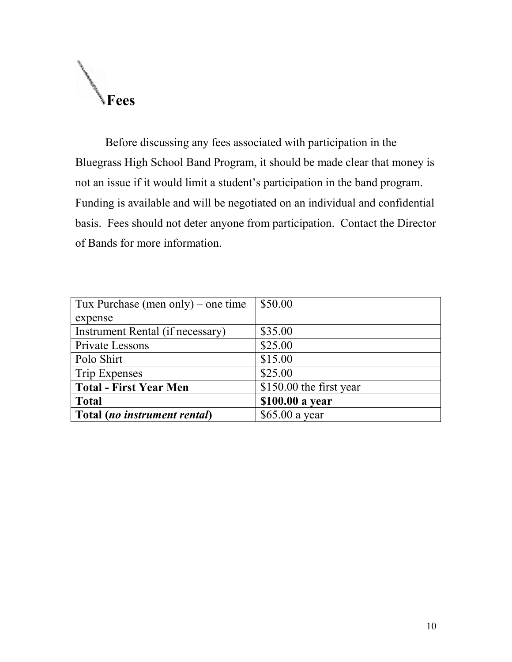

Before discussing any fees associated with participation in the Bluegrass High School Band Program, it should be made clear that money is not an issue if it would limit a student's participation in the band program. Funding is available and will be negotiated on an individual and confidential basis. Fees should not deter anyone from participation. Contact the Director of Bands for more information.

| Tux Purchase (men only) – one time | \$50.00                 |
|------------------------------------|-------------------------|
| expense                            |                         |
| Instrument Rental (if necessary)   | \$35.00                 |
| Private Lessons                    | \$25.00                 |
| Polo Shirt                         | \$15.00                 |
| Trip Expenses                      | \$25.00                 |
| <b>Total - First Year Men</b>      | \$150.00 the first year |
| <b>Total</b>                       | \$100.00 a year         |
| Total (no instrument rental)       | \$65.00 a year          |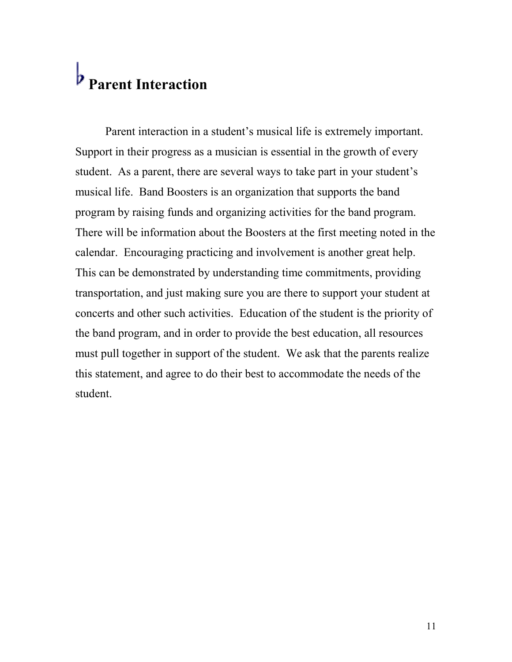### b<br>Parent Interaction

Parent interaction in a student's musical life is extremely important. Support in their progress as a musician is essential in the growth of every student. As a parent, there are several ways to take part in your student's musical life. Band Boosters is an organization that supports the band program by raising funds and organizing activities for the band program. There will be information about the Boosters at the first meeting noted in the calendar. Encouraging practicing and involvement is another great help. This can be demonstrated by understanding time commitments, providing transportation, and just making sure you are there to support your student at concerts and other such activities. Education of the student is the priority of the band program, and in order to provide the best education, all resources must pull together in support of the student. We ask that the parents realize this statement, and agree to do their best to accommodate the needs of the student.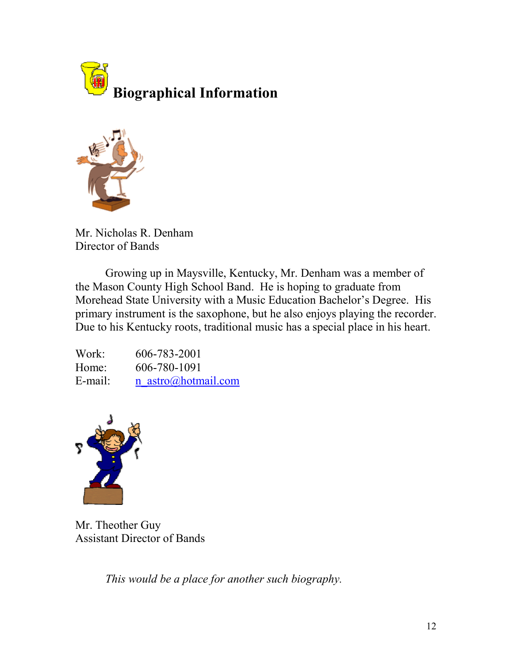



Mr. Nicholas R. Denham Director of Bands

 Growing up in Maysville, Kentucky, Mr. Denham was a member of the Mason County High School Band. He is hoping to graduate from Morehead State University with a Music Education Bachelor's Degree. His primary instrument is the saxophone, but he also enjoys playing the recorder. Due to his Kentucky roots, traditional music has a special place in his heart.

Work: 606-783-2001 Home: 606-780-1091 E-mail: n\_astro@hotmail.com



Mr. Theother Guy Assistant Director of Bands

This would be a place for another such biography.